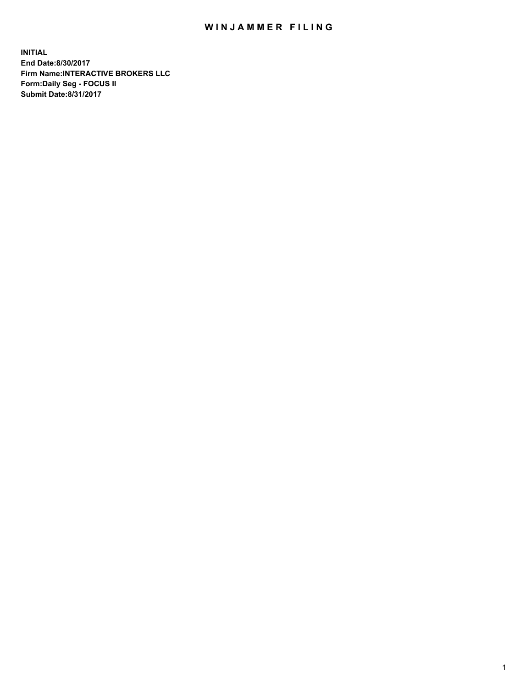## WIN JAMMER FILING

**INITIAL End Date:8/30/2017 Firm Name:INTERACTIVE BROKERS LLC Form:Daily Seg - FOCUS II Submit Date:8/31/2017**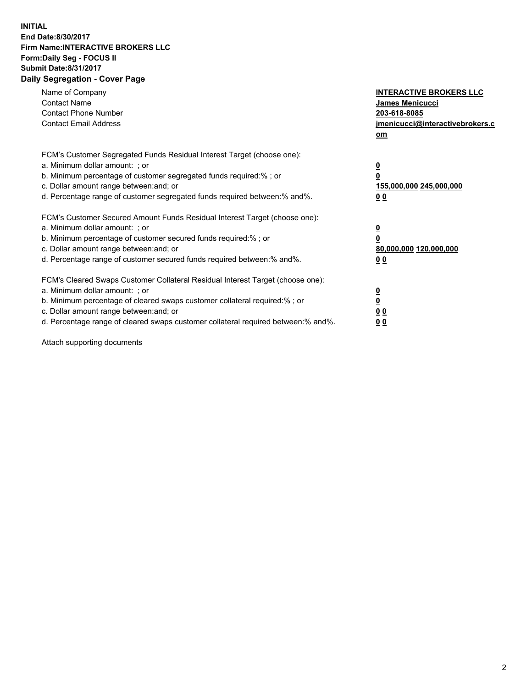## **INITIAL End Date:8/30/2017 Firm Name:INTERACTIVE BROKERS LLC Form:Daily Seg - FOCUS II Submit Date:8/31/2017 Daily Segregation - Cover Page**

| Name of Company<br><b>Contact Name</b><br><b>Contact Phone Number</b><br><b>Contact Email Address</b>                                                                                                                                                                                                                          | <b>INTERACTIVE BROKERS LLC</b><br><b>James Menicucci</b><br>203-618-8085<br>jmenicucci@interactivebrokers.c<br>om |
|--------------------------------------------------------------------------------------------------------------------------------------------------------------------------------------------------------------------------------------------------------------------------------------------------------------------------------|-------------------------------------------------------------------------------------------------------------------|
| FCM's Customer Segregated Funds Residual Interest Target (choose one):<br>a. Minimum dollar amount: ; or<br>b. Minimum percentage of customer segregated funds required:% ; or<br>c. Dollar amount range between: and; or<br>d. Percentage range of customer segregated funds required between:% and%.                         | $\overline{\mathbf{0}}$<br>0<br>155,000,000 245,000,000<br>0 <sub>0</sub>                                         |
| FCM's Customer Secured Amount Funds Residual Interest Target (choose one):<br>a. Minimum dollar amount: ; or<br>b. Minimum percentage of customer secured funds required:%; or<br>c. Dollar amount range between: and; or<br>d. Percentage range of customer secured funds required between: % and %.                          | $\overline{\mathbf{0}}$<br>$\overline{\mathbf{0}}$<br>80,000,000 120,000,000<br>00                                |
| FCM's Cleared Swaps Customer Collateral Residual Interest Target (choose one):<br>a. Minimum dollar amount: ; or<br>b. Minimum percentage of cleared swaps customer collateral required:% ; or<br>c. Dollar amount range between: and; or<br>d. Percentage range of cleared swaps customer collateral required between:% and%. | $\overline{\mathbf{0}}$<br>$\overline{\mathbf{0}}$<br>0 <sub>0</sub><br>0 <sub>0</sub>                            |

Attach supporting documents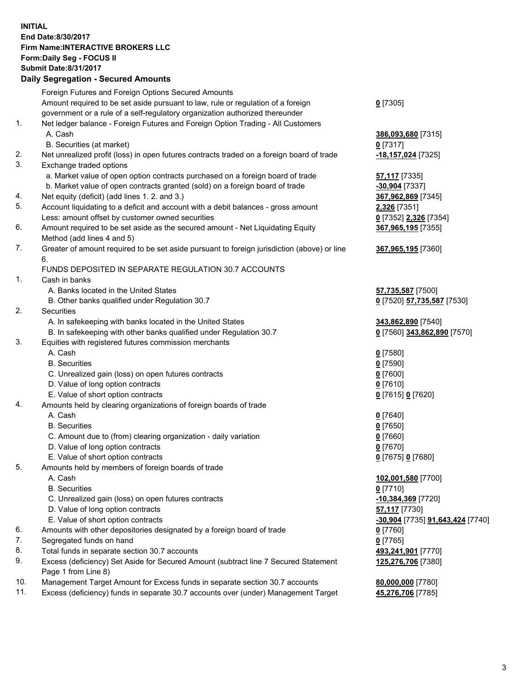## **INITIAL End Date:8/30/2017 Firm Name:INTERACTIVE BROKERS LLC Form:Daily Seg - FOCUS II Submit Date:8/31/2017 Daily Segregation - Secured Amounts**

|     | Daily Jegi egation - Jeculeu Alliounts                                                      |                                  |
|-----|---------------------------------------------------------------------------------------------|----------------------------------|
|     | Foreign Futures and Foreign Options Secured Amounts                                         |                                  |
|     | Amount required to be set aside pursuant to law, rule or regulation of a foreign            | $0$ [7305]                       |
|     | government or a rule of a self-regulatory organization authorized thereunder                |                                  |
| 1.  | Net ledger balance - Foreign Futures and Foreign Option Trading - All Customers             |                                  |
|     | A. Cash                                                                                     | 386,093,680 [7315]               |
|     | B. Securities (at market)                                                                   | $0$ [7317]                       |
| 2.  | Net unrealized profit (loss) in open futures contracts traded on a foreign board of trade   | 18,157,024 [7325]                |
| 3.  | Exchange traded options                                                                     |                                  |
|     | a. Market value of open option contracts purchased on a foreign board of trade              |                                  |
|     |                                                                                             | <b>57,117</b> [7335]             |
|     | b. Market value of open contracts granted (sold) on a foreign board of trade                | $-30,904$ [7337]                 |
| 4.  | Net equity (deficit) (add lines 1. 2. and 3.)                                               | 367,962,869 [7345]               |
| 5.  | Account liquidating to a deficit and account with a debit balances - gross amount           | 2,326 [7351]                     |
|     | Less: amount offset by customer owned securities                                            | 0 [7352] 2,326 [7354]            |
| 6.  | Amount required to be set aside as the secured amount - Net Liquidating Equity              | 367,965,195 [7355]               |
|     | Method (add lines 4 and 5)                                                                  |                                  |
| 7.  | Greater of amount required to be set aside pursuant to foreign jurisdiction (above) or line | 367,965,195 [7360]               |
|     | 6.                                                                                          |                                  |
|     | FUNDS DEPOSITED IN SEPARATE REGULATION 30.7 ACCOUNTS                                        |                                  |
| 1.  | Cash in banks                                                                               |                                  |
|     | A. Banks located in the United States                                                       | 57,735,587 [7500]                |
|     | B. Other banks qualified under Regulation 30.7                                              | 0 [7520] 57,735,587 [7530]       |
| 2.  | Securities                                                                                  |                                  |
|     | A. In safekeeping with banks located in the United States                                   | 343,862,890 [7540]               |
|     | B. In safekeeping with other banks qualified under Regulation 30.7                          | 0 [7560] 343,862,890 [7570]      |
| 3.  | Equities with registered futures commission merchants                                       |                                  |
|     | A. Cash                                                                                     | $0$ [7580]                       |
|     | <b>B.</b> Securities                                                                        | $0$ [7590]                       |
|     | C. Unrealized gain (loss) on open futures contracts                                         | $0$ [7600]                       |
|     | D. Value of long option contracts                                                           | $0$ [7610]                       |
|     | E. Value of short option contracts                                                          | 0 [7615] 0 [7620]                |
| 4.  | Amounts held by clearing organizations of foreign boards of trade                           |                                  |
|     | A. Cash                                                                                     | $0$ [7640]                       |
|     | <b>B.</b> Securities                                                                        | $0$ [7650]                       |
|     | C. Amount due to (from) clearing organization - daily variation                             | $0$ [7660]                       |
|     | D. Value of long option contracts                                                           | $0$ [7670]                       |
|     | E. Value of short option contracts                                                          | 0 [7675] 0 [7680]                |
| 5.  | Amounts held by members of foreign boards of trade                                          |                                  |
|     | A. Cash                                                                                     | 102,001,580 [7700]               |
|     | <b>B.</b> Securities                                                                        | $0$ [7710]                       |
|     | C. Unrealized gain (loss) on open futures contracts                                         | $-10,384,369$ [7720]             |
|     | D. Value of long option contracts                                                           | 57,117 [7730]                    |
|     | E. Value of short option contracts                                                          | -30,904 [7735] 91,643,424 [7740] |
| 6.  | Amounts with other depositories designated by a foreign board of trade                      | 0 [7760]                         |
| 7.  | Segregated funds on hand                                                                    | $0$ [7765]                       |
| 8.  | Total funds in separate section 30.7 accounts                                               | 493,241,901 [7770]               |
| 9.  | Excess (deficiency) Set Aside for Secured Amount (subtract line 7 Secured Statement         | 125,276,706 [7380]               |
|     | Page 1 from Line 8)                                                                         |                                  |
| 10. | Management Target Amount for Excess funds in separate section 30.7 accounts                 | 80,000,000 [7780]                |
| 11. | Excess (deficiency) funds in separate 30.7 accounts over (under) Management Target          | 45,276,706 [7785]                |
|     |                                                                                             |                                  |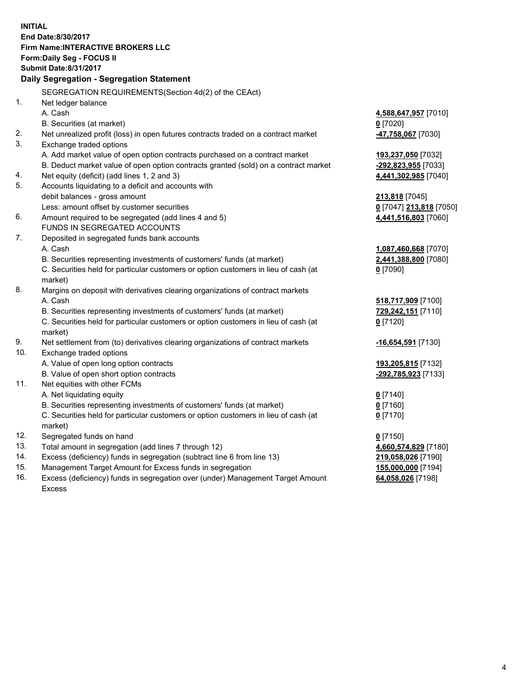**INITIAL End Date:8/30/2017 Firm Name:INTERACTIVE BROKERS LLC Form:Daily Seg - FOCUS II Submit Date:8/31/2017 Daily Segregation - Segregation Statement** SEGREGATION REQUIREMENTS(Section 4d(2) of the CEAct) 1. Net ledger balance A. Cash **4,588,647,957** [7010] B. Securities (at market) **0** [7020] 2. Net unrealized profit (loss) in open futures contracts traded on a contract market **-47,758,067** [7030] 3. Exchange traded options A. Add market value of open option contracts purchased on a contract market **193,237,050** [7032] B. Deduct market value of open option contracts granted (sold) on a contract market **-292,823,955** [7033] 4. Net equity (deficit) (add lines 1, 2 and 3) **4,441,302,985** [7040] 5. Accounts liquidating to a deficit and accounts with debit balances - gross amount **213,818** [7045] Less: amount offset by customer securities **0** [7047] **213,818** [7050] 6. Amount required to be segregated (add lines 4 and 5) **4,441,516,803** [7060] FUNDS IN SEGREGATED ACCOUNTS 7. Deposited in segregated funds bank accounts A. Cash **1,087,460,668** [7070] B. Securities representing investments of customers' funds (at market) **2,441,388,800** [7080] C. Securities held for particular customers or option customers in lieu of cash (at market) **0** [7090] 8. Margins on deposit with derivatives clearing organizations of contract markets A. Cash **518,717,909** [7100] B. Securities representing investments of customers' funds (at market) **729,242,151** [7110] C. Securities held for particular customers or option customers in lieu of cash (at market) **0** [7120] 9. Net settlement from (to) derivatives clearing organizations of contract markets **-16,654,591** [7130] 10. Exchange traded options A. Value of open long option contracts **193,205,815** [7132] B. Value of open short option contracts **-292,785,923** [7133] 11. Net equities with other FCMs A. Net liquidating equity **0** [7140] B. Securities representing investments of customers' funds (at market) **0** [7160] C. Securities held for particular customers or option customers in lieu of cash (at market) **0** [7170] 12. Segregated funds on hand **0** [7150] 13. Total amount in segregation (add lines 7 through 12) **4,660,574,829** [7180] 14. Excess (deficiency) funds in segregation (subtract line 6 from line 13) **219,058,026** [7190] 15. Management Target Amount for Excess funds in segregation **155,000,000** [7194] 16. Excess (deficiency) funds in segregation over (under) Management Target Amount **64,058,026** [7198]

Excess